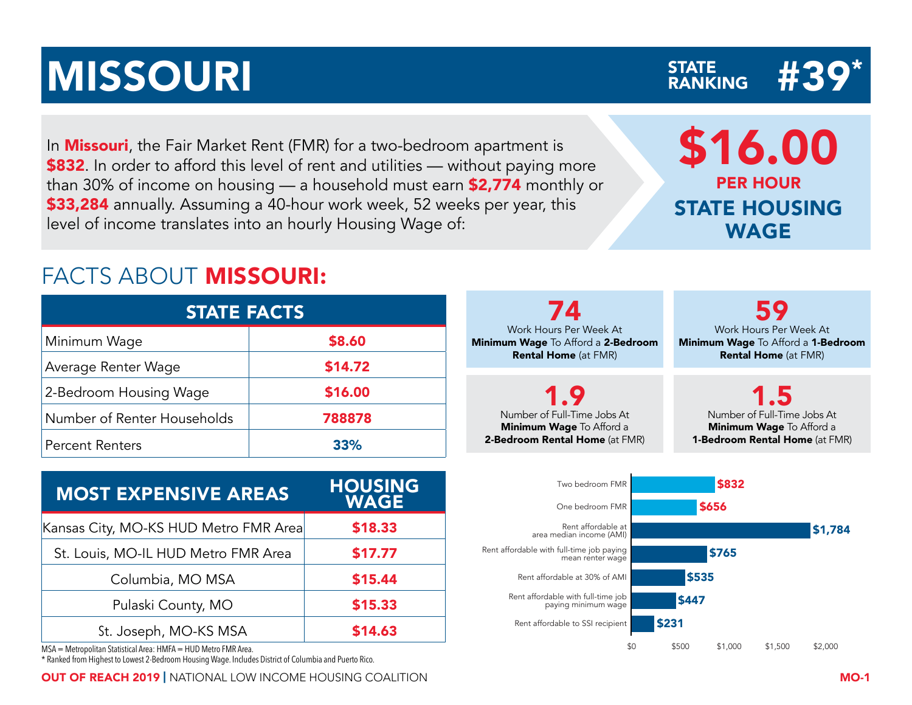## MISSOURI NEWSFATE AND STATE AND STATE AND STATE AND STATE  $\#39^*$

In **Missouri**, the Fair Market Rent (FMR) for a two-bedroom apartment is \$832. In order to afford this level of rent and utilities — without paying more than 30% of income on housing — a household must earn \$2,774 monthly or \$33,284 annually. Assuming a 40-hour work week, 52 weeks per year, this level of income translates into an hourly Housing Wage of:

## FACTS ABOUT MISSOURI:

| <b>STATE FACTS</b>          |         |  |  |  |  |  |  |  |  |  |  |
|-----------------------------|---------|--|--|--|--|--|--|--|--|--|--|
| Minimum Wage                | \$8.60  |  |  |  |  |  |  |  |  |  |  |
| Average Renter Wage         | \$14.72 |  |  |  |  |  |  |  |  |  |  |
| 2-Bedroom Housing Wage      | \$16.00 |  |  |  |  |  |  |  |  |  |  |
| Number of Renter Households | 788878  |  |  |  |  |  |  |  |  |  |  |
| <b>Percent Renters</b>      | 33%     |  |  |  |  |  |  |  |  |  |  |

| <b>MOST EXPENSIVE AREAS</b>           | <b>HOUSING</b><br><b>WAGE</b> |
|---------------------------------------|-------------------------------|
| Kansas City, MO-KS HUD Metro FMR Area | \$18.33                       |
| St. Louis, MO-IL HUD Metro FMR Area   | \$17.77                       |
| Columbia, MO MSA                      | \$15.44                       |
| Pulaski County, MO                    | \$15.33                       |
| St. Joseph, MO-KS MSA                 | \$14.63                       |

MSA = Metropolitan Statistical Area: HMFA = HUD Metro FMR Area.

\* Ranked from Highest to Lowest 2-Bedroom Housing Wage. Includes District of Columbia and Puerto Rico.

OUT OF REACH 2019 | NATIONAL LOW INCOME HOUSING COALITION MO-1



\$0 \$500 \$1,000 \$1,500 \$2,000

\$16.00 PER HOUR STATE HOUSING WAGE

STATE<br>RANKING

74 Minimum Wage To Afford a 2-Bedroom

2-Bedroom Rental Home (at FMR)

59 Work Hours Per Week At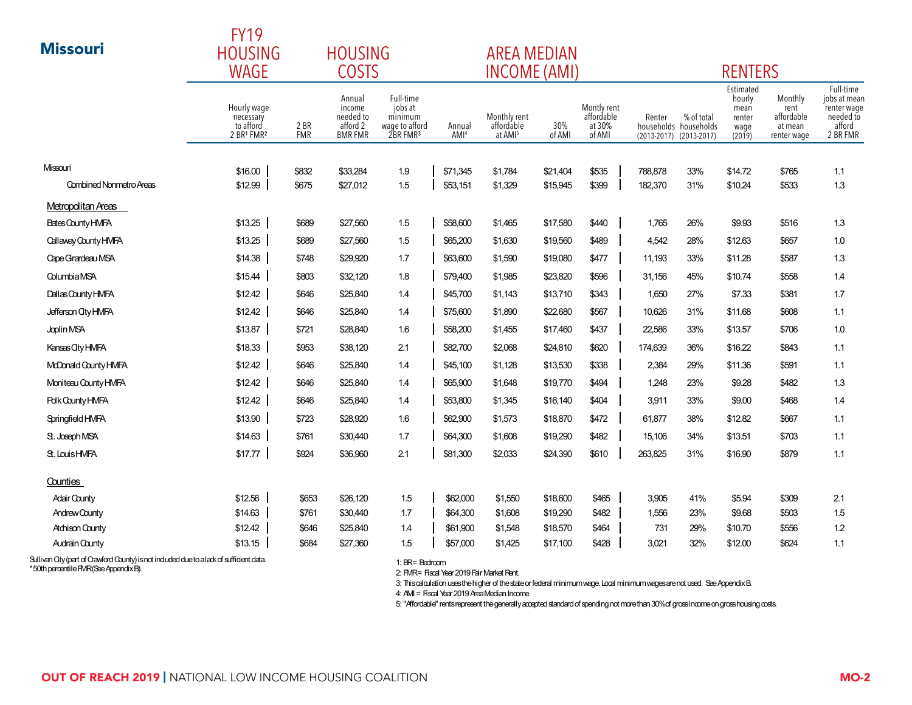|                                | <b>FY19</b>                                              |                    |                                                             |                                                                           |                            |                                                   |               |                                               |         |                                                                |                                                         |                                                         |                                                                             |
|--------------------------------|----------------------------------------------------------|--------------------|-------------------------------------------------------------|---------------------------------------------------------------------------|----------------------------|---------------------------------------------------|---------------|-----------------------------------------------|---------|----------------------------------------------------------------|---------------------------------------------------------|---------------------------------------------------------|-----------------------------------------------------------------------------|
| <b>Missouri</b>                | <b>HOUSING</b><br><b>HOUSING</b><br>WAGE<br><b>COSTS</b> |                    |                                                             |                                                                           |                            | <b>AREA MEDIAN</b>                                |               |                                               |         |                                                                |                                                         |                                                         |                                                                             |
|                                |                                                          |                    |                                                             |                                                                           |                            | <b>INCOME (AMI)</b>                               |               |                                               |         |                                                                | <b>RENTERS</b>                                          |                                                         |                                                                             |
|                                | Hourly wage<br>necessary<br>to afford<br>2 BR1 FMR2      | 2 BR<br><b>FMR</b> | Annual<br>income<br>needed to<br>afford 2<br><b>BMR FMR</b> | Full-time<br>jobs at<br>minimum<br>wage to afford<br>2BR FMR <sup>3</sup> | Annual<br>AMI <sup>4</sup> | Monthly rent<br>affordable<br>at AMI <sup>5</sup> | 30%<br>of AMI | Montly rent<br>affordable<br>at 30%<br>of AMI | Renter  | % of total<br>households households<br>(2013-2017) (2013-2017) | Estimated<br>hourly<br>mean<br>renter<br>wage<br>(2019) | Monthly<br>rent<br>affordable<br>at mean<br>renter wage | Full-time<br>jobs at mean<br>renter wage<br>needed to<br>afford<br>2 BR FMR |
| Missouri                       | \$16.00                                                  | \$832              | \$33,284                                                    | 1.9                                                                       | \$71,345                   | \$1,784                                           | \$21,404      | \$535                                         | 788,878 | 33%                                                            | \$14.72                                                 | \$765                                                   | 1.1                                                                         |
| <b>Combined Nonmetro Areas</b> | \$12.99                                                  | \$675              | \$27,012                                                    | 1.5                                                                       | \$53,151                   | \$1,329                                           | \$15,945      | \$399                                         | 182,370 | 31%                                                            | \$10.24                                                 | \$533                                                   | 1.3                                                                         |
| Metropolitan Areas             |                                                          |                    |                                                             |                                                                           |                            |                                                   |               |                                               |         |                                                                |                                                         |                                                         |                                                                             |
| Bates County HMFA              | \$13.25                                                  | \$689              | \$27,560                                                    | 1.5                                                                       | \$58,600                   | \$1,465                                           | \$17,580      | \$440                                         | 1,765   | 26%                                                            | \$9.93                                                  | \$516                                                   | 1.3                                                                         |
| Callaway County HMFA           | \$13.25                                                  | \$689              | \$27,560                                                    | 1.5                                                                       | \$65,200                   | \$1,630                                           | \$19,560      | \$489                                         | 4,542   | 28%                                                            | \$12.63                                                 | \$657                                                   | 1.0                                                                         |
| Cape Grandeau MSA              | \$14.38                                                  | \$748              | \$29,920                                                    | 1.7                                                                       | \$63,600                   | \$1,590                                           | \$19,080      | \$477                                         | 11,193  | 33%                                                            | \$11.28                                                 | \$587                                                   | 1.3                                                                         |
| <b>ColumbiaMSA</b>             | \$15.44                                                  | \$803              | \$32,120                                                    | 1.8                                                                       | \$79,400                   | \$1,985                                           | \$23,820      | \$596                                         | 31,156  | 45%                                                            | \$10.74                                                 | \$558                                                   | 1.4                                                                         |
| Dallas County HMFA             | \$12.42                                                  | \$646              | \$25,840                                                    | 1.4                                                                       | \$45,700                   | \$1,143                                           | \$13,710      | \$343                                         | 1,650   | 27%                                                            | \$7.33                                                  | \$381                                                   | 1.7                                                                         |
| Jefferson City HMFA            | \$12.42                                                  | \$646              | \$25,840                                                    | 1.4                                                                       | \$75,600                   | \$1,890                                           | \$22,680      | \$567                                         | 10,626  | 31%                                                            | \$11.68                                                 | \$608                                                   | 1.1                                                                         |
| Joplin MSA                     | \$13.87                                                  | \$721              | \$28,840                                                    | 1.6                                                                       | \$58,200                   | \$1,455                                           | \$17,460      | \$437                                         | 22,586  | 33%                                                            | \$13.57                                                 | \$706                                                   | 1.0                                                                         |
| Kansas Oty HMFA                | \$18.33                                                  | \$953              | \$38,120                                                    | 2.1                                                                       | \$82,700                   | \$2,068                                           | \$24,810      | \$620                                         | 174,639 | 36%                                                            | \$16.22                                                 | \$843                                                   | 1.1                                                                         |
| McDonald County HMFA           | \$12.42                                                  | \$646              | \$25,840                                                    | 1.4                                                                       | \$45,100                   | \$1,128                                           | \$13,530      | \$338                                         | 2,384   | 29%                                                            | \$11.36                                                 | \$591                                                   | 1.1                                                                         |
| Moniteau County HMFA           | \$12.42                                                  | \$646              | \$25,840                                                    | 1.4                                                                       | \$65,900                   | \$1,648                                           | \$19,770      | \$494                                         | 1,248   | 23%                                                            | \$9.28                                                  | \$482                                                   | 1.3                                                                         |
| <b>Polk County HMFA</b>        | \$12.42                                                  | \$646              | \$25,840                                                    | 1.4                                                                       | \$53,800                   | \$1,345                                           | \$16,140      | \$404                                         | 3,911   | 33%                                                            | \$9.00                                                  | \$468                                                   | 1.4                                                                         |
| Springfield HMFA               | \$13.90                                                  | \$723              | \$28,920                                                    | 1.6                                                                       | \$62,900                   | \$1,573                                           | \$18,870      | \$472                                         | 61,877  | 38%                                                            | \$12.82                                                 | \$667                                                   | 1.1                                                                         |
| St. Joseph MSA                 | \$14.63                                                  | \$761              | \$30,440                                                    | 1.7                                                                       | \$64,300                   | \$1,608                                           | \$19,290      | \$482                                         | 15,106  | 34%                                                            | \$13.51                                                 | \$703                                                   | 1.1                                                                         |
| St. LouisHMFA                  | \$17.77                                                  | \$924              | \$36,960                                                    | 2.1                                                                       | \$81,300                   | \$2,033                                           | \$24,390      | \$610                                         | 263,825 | 31%                                                            | \$16.90                                                 | \$879                                                   | 1.1                                                                         |
| Counties                       |                                                          |                    |                                                             |                                                                           |                            |                                                   |               |                                               |         |                                                                |                                                         |                                                         |                                                                             |
| <b>Adair County</b>            | \$12.56                                                  | \$653              | \$26,120                                                    | 1.5                                                                       | \$62,000                   | \$1,550                                           | \$18,600      | \$465                                         | 3,905   | 41%                                                            | \$5.94                                                  | \$309                                                   | 2.1                                                                         |
| <b>Andrew County</b>           | \$14.63                                                  | \$761              | \$30,440                                                    | 1.7                                                                       | \$64,300                   | \$1,608                                           | \$19,290      | \$482                                         | 1,556   | 23%                                                            | \$9.68                                                  | \$503                                                   | 1.5                                                                         |
| <b>Atchison County</b>         | \$12.42                                                  | \$646              | \$25,840                                                    | 1.4                                                                       | \$61,900                   | \$1,548                                           | \$18,570      | \$464                                         | 731     | 29%                                                            | \$10.70                                                 | \$556                                                   | 1.2                                                                         |
| <b>Audrain County</b>          | \$13.15                                                  | \$684              | \$27,360                                                    | 1.5                                                                       | \$57,000                   | \$1,425                                           | \$17,100      | \$428                                         | 3,021   | 32%                                                            | \$12.00                                                 | \$624                                                   | 1.1                                                                         |

1: BR= Bedroom

2: FMR= Fiscal Year 2019 Fair Market Rent.

3: This calculation uses the higher of the state or federal minimum wage. Local minimum wages are not used. See Appendix B.

4: AMI = Fiscal Year 2019 Area Median Income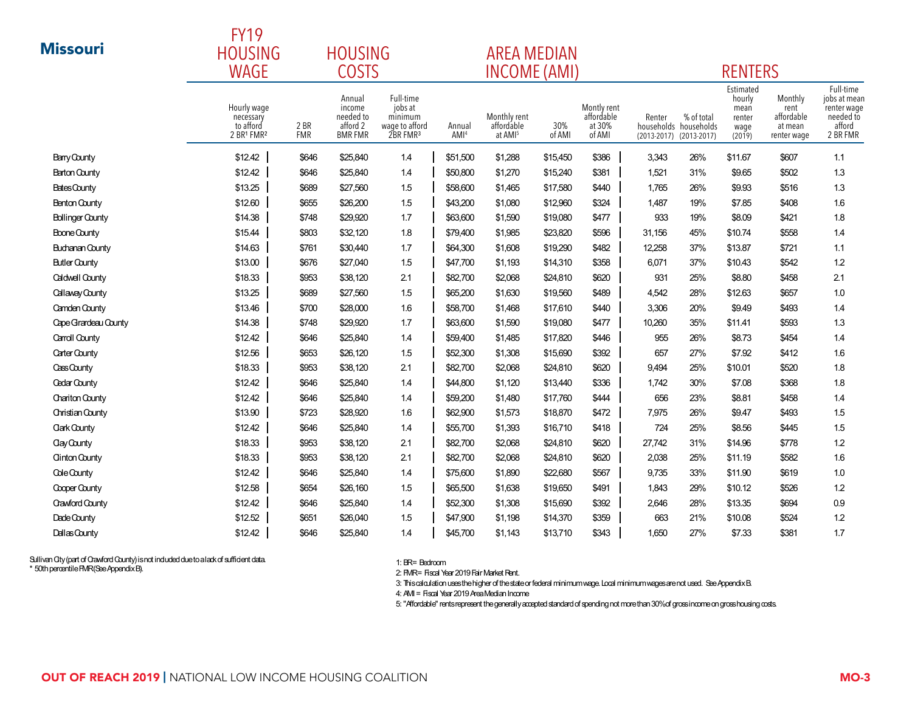|                         | <b>FY19</b>                                         |                                               |                                                             |                                                                           |                            |                                                   |               |                                               |                           |                                                        |                                                         |                                                         |                                                                             |
|-------------------------|-----------------------------------------------------|-----------------------------------------------|-------------------------------------------------------------|---------------------------------------------------------------------------|----------------------------|---------------------------------------------------|---------------|-----------------------------------------------|---------------------------|--------------------------------------------------------|---------------------------------------------------------|---------------------------------------------------------|-----------------------------------------------------------------------------|
| <b>Missouri</b>         | <b>HOUSING</b>                                      | <b>HOUSING</b><br><b>WAGE</b><br><b>COSTS</b> |                                                             |                                                                           |                            |                                                   |               | <b>AREA MEDIAN</b>                            |                           |                                                        |                                                         |                                                         |                                                                             |
|                         |                                                     |                                               |                                                             |                                                                           |                            |                                                   |               | INCOME (AMI)                                  | <b>RENTERS</b>            |                                                        |                                                         |                                                         |                                                                             |
|                         | Hourly wage<br>necessary<br>to afford<br>2 BR1 FMR2 | 2 BR<br><b>FMR</b>                            | Annual<br>income<br>needed to<br>afford 2<br><b>BMR FMR</b> | Full-time<br>jobs at<br>minimum<br>wage to afford<br>2BR FMR <sup>3</sup> | Annual<br>AMI <sup>4</sup> | Monthly rent<br>affordable<br>at AMI <sup>5</sup> | 30%<br>of AMI | Montly rent<br>affordable<br>at 30%<br>of AMI | Renter<br>$(2013 - 2017)$ | % of total<br>households households<br>$(2013 - 2017)$ | Estimated<br>hourly<br>mean<br>renter<br>wage<br>(2019) | Monthly<br>rent<br>affordable<br>at mean<br>renter wage | Full-time<br>jobs at mean<br>renter wage<br>needed to<br>afford<br>2 BR FMR |
| Barry County            | \$12.42                                             | \$646                                         | \$25,840                                                    | 1.4                                                                       | \$51,500                   | \$1,288                                           | \$15,450      | \$386                                         | 3,343                     | 26%                                                    | \$11.67                                                 | \$607                                                   | 1.1                                                                         |
| <b>Barton County</b>    | \$12.42                                             | \$646                                         | \$25,840                                                    | 1.4                                                                       | \$50,800                   | \$1,270                                           | \$15,240      | \$381                                         | 1,521                     | 31%                                                    | \$9.65                                                  | \$502                                                   | 1.3                                                                         |
| Bates County            | \$13.25                                             | \$689                                         | \$27,560                                                    | 1.5                                                                       | \$58,600                   | \$1,465                                           | \$17,580      | \$440                                         | 1,765                     | 26%                                                    | \$9.93                                                  | \$516                                                   | 1.3                                                                         |
| <b>Benton County</b>    | \$12.60                                             | \$655                                         | \$26,200                                                    | 1.5                                                                       | \$43,200                   | \$1,080                                           | \$12,960      | \$324                                         | 1,487                     | 19%                                                    | \$7.85                                                  | \$408                                                   | 1.6                                                                         |
| <b>Bollinger County</b> | \$14.38                                             | \$748                                         | \$29,920                                                    | 1.7                                                                       | \$63,600                   | \$1,590                                           | \$19,080      | \$477                                         | 933                       | 19%                                                    | \$8.09                                                  | \$421                                                   | 1.8                                                                         |
| Boone County            | \$15.44                                             | \$803                                         | \$32,120                                                    | 1.8                                                                       | \$79,400                   | \$1,985                                           | \$23,820      | \$596                                         | 31,156                    | 45%                                                    | \$10.74                                                 | \$558                                                   | 1.4                                                                         |
| <b>Buchanan County</b>  | \$14.63                                             | \$761                                         | \$30,440                                                    | 1.7                                                                       | \$64,300                   | \$1,608                                           | \$19,290      | \$482                                         | 12,258                    | 37%                                                    | \$13.87                                                 | \$721                                                   | 1.1                                                                         |
| <b>Butler County</b>    | \$13.00                                             | \$676                                         | \$27,040                                                    | 1.5                                                                       | \$47,700                   | \$1,193                                           | \$14,310      | \$358                                         | 6,071                     | 37%                                                    | \$10.43                                                 | \$542                                                   | 1.2                                                                         |
| <b>Caldwell County</b>  | \$18.33                                             | \$953                                         | \$38,120                                                    | 2.1                                                                       | \$82,700                   | \$2,068                                           | \$24,810      | \$620                                         | 931                       | 25%                                                    | \$8.80                                                  | \$458                                                   | 2.1                                                                         |
| Callaway County         | \$13.25                                             | \$689                                         | \$27,560                                                    | 1.5                                                                       | \$65,200                   | \$1,630                                           | \$19,560      | \$489                                         | 4,542                     | 28%                                                    | \$12.63                                                 | \$657                                                   | 1.0                                                                         |
| Camden County           | \$13.46                                             | \$700                                         | \$28,000                                                    | 1.6                                                                       | \$58,700                   | \$1,468                                           | \$17,610      | \$440                                         | 3,306                     | 20%                                                    | \$9.49                                                  | \$493                                                   | 1.4                                                                         |
| Cape Grandeau County    | \$14.38                                             | \$748                                         | \$29,920                                                    | 1.7                                                                       | \$63,600                   | \$1,590                                           | \$19,080      | \$477                                         | 10,260                    | 35%                                                    | \$11.41                                                 | \$593                                                   | 1.3                                                                         |
| Carroll County          | \$12.42                                             | \$646                                         | \$25,840                                                    | 1.4                                                                       | \$59,400                   | \$1,485                                           | \$17,820      | \$446                                         | 955                       | 26%                                                    | \$8.73                                                  | \$454                                                   | 1.4                                                                         |
| Carter County           | \$12.56                                             | \$653                                         | \$26,120                                                    | 1.5                                                                       | \$52,300                   | \$1,308                                           | \$15,690      | \$392                                         | 657                       | 27%                                                    | \$7.92                                                  | \$412                                                   | 1.6                                                                         |
| Cass County             | \$18.33                                             | \$953                                         | \$38,120                                                    | 2.1                                                                       | \$82,700                   | \$2,068                                           | \$24,810      | \$620                                         | 9,494                     | 25%                                                    | \$10.01                                                 | \$520                                                   | 1.8                                                                         |
| <b>Cedar County</b>     | \$12.42                                             | \$646                                         | \$25,840                                                    | 1.4                                                                       | \$44,800                   | \$1,120                                           | \$13,440      | \$336                                         | 1,742                     | 30%                                                    | \$7.08                                                  | \$368                                                   | 1.8                                                                         |
| Chariton County         | \$12.42                                             | \$646                                         | \$25,840                                                    | 1.4                                                                       | \$59,200                   | \$1,480                                           | \$17,760      | \$444                                         | 656                       | 23%                                                    | \$8.81                                                  | \$458                                                   | 1.4                                                                         |
| Christian County        | \$13.90                                             | \$723                                         | \$28,920                                                    | 1.6                                                                       | \$62,900                   | \$1,573                                           | \$18,870      | \$472                                         | 7,975                     | 26%                                                    | \$9.47                                                  | \$493                                                   | 1.5                                                                         |
| <b>Clark County</b>     | \$12.42                                             | \$646                                         | \$25,840                                                    | 1.4                                                                       | \$55,700                   | \$1,393                                           | \$16,710      | \$418                                         | 724                       | 25%                                                    | \$8.56                                                  | \$445                                                   | 1.5                                                                         |
| Clay County             | \$18.33                                             | \$953                                         | \$38,120                                                    | 2.1                                                                       | \$82,700                   | \$2,068                                           | \$24,810      | \$620                                         | 27,742                    | 31%                                                    | \$14.96                                                 | \$778                                                   | 1.2                                                                         |
| <b>Clinton County</b>   | \$18.33                                             | \$953                                         | \$38,120                                                    | 2.1                                                                       | \$82,700                   | \$2,068                                           | \$24,810      | \$620                                         | 2,038                     | 25%                                                    | \$11.19                                                 | \$582                                                   | 1.6                                                                         |
| Cole County             | \$12.42                                             | \$646                                         | \$25,840                                                    | 1.4                                                                       | \$75,600                   | \$1,890                                           | \$22,680      | \$567                                         | 9,735                     | 33%                                                    | \$11.90                                                 | \$619                                                   | 1.0                                                                         |
| Cooper County           | \$12.58                                             | \$654                                         | \$26,160                                                    | 1.5                                                                       | \$65,500                   | \$1,638                                           | \$19,650      | \$491                                         | 1,843                     | 29%                                                    | \$10.12                                                 | \$526                                                   | 1.2                                                                         |
| <b>Crawford County</b>  | \$12.42                                             | \$646                                         | \$25,840                                                    | 1.4                                                                       | \$52,300                   | \$1,308                                           | \$15,690      | \$392                                         | 2,646                     | 28%                                                    | \$13.35                                                 | \$694                                                   | 0.9                                                                         |
| Dade County             | \$12.52                                             | \$651                                         | \$26,040                                                    | 1.5                                                                       | \$47,900                   | \$1,198                                           | \$14,370      | \$359                                         | 663                       | 21%                                                    | \$10.08                                                 | \$524                                                   | 1.2                                                                         |
| Dallas County           | \$12.42                                             | \$646                                         | \$25,840                                                    | 1.4                                                                       | \$45,700                   | \$1,143                                           | \$13,710      | \$343                                         | 1,650                     | 27%                                                    | \$7.33                                                  | \$381                                                   | 1.7                                                                         |

1: BR= Bedroom

2: FMR= Fiscal Year 2019 Fair Market Rent.

3: This calculation uses the higher of the state or federal minimum wage. Local minimum wages are not used. See Appendix B.

4: AMI = Fiscal Year 2019 Area Median Income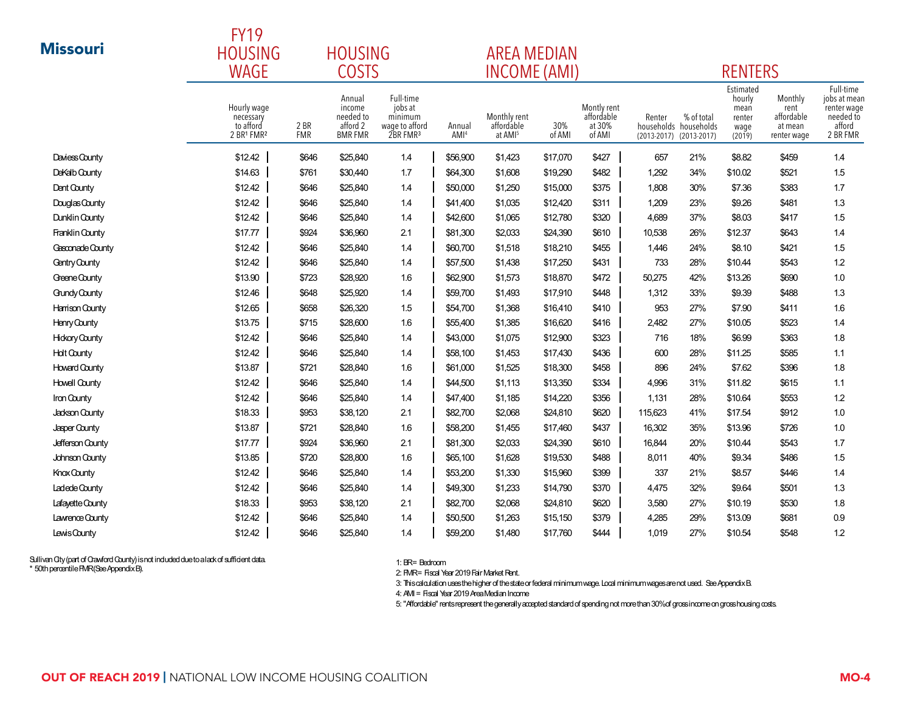|                       | <b>FY19</b>                                         |                    |                                                             |                                                                           |                            |                                                   |               |                                               |                           |                                                        |                                                         |                                                         |                                                                             |  |  |
|-----------------------|-----------------------------------------------------|--------------------|-------------------------------------------------------------|---------------------------------------------------------------------------|----------------------------|---------------------------------------------------|---------------|-----------------------------------------------|---------------------------|--------------------------------------------------------|---------------------------------------------------------|---------------------------------------------------------|-----------------------------------------------------------------------------|--|--|
| <b>Missouri</b>       | <b>HOUSING</b>                                      | <b>HOUSING</b>     |                                                             |                                                                           |                            |                                                   |               | <b>AREA MEDIAN</b>                            |                           |                                                        |                                                         |                                                         |                                                                             |  |  |
|                       | <b>WAGE</b>                                         |                    | <b>COSTS</b>                                                |                                                                           |                            | <b>INCOME (AMI)</b>                               |               |                                               |                           |                                                        | <b>RENTERS</b>                                          |                                                         |                                                                             |  |  |
|                       | Hourly wage<br>necessary<br>to afford<br>2 BR1 FMR2 | 2 BR<br><b>FMR</b> | Annual<br>income<br>needed to<br>afford 2<br><b>BMR FMR</b> | Full-time<br>jobs at<br>minimum<br>wage to afford<br>2BR FMR <sup>3</sup> | Annual<br>AMI <sup>4</sup> | Monthly rent<br>affordable<br>at AMI <sup>5</sup> | 30%<br>of AMI | Montly rent<br>affordable<br>at 30%<br>of AMI | Renter<br>$(2013 - 2017)$ | % of total<br>households households<br>$(2013 - 2017)$ | Estimated<br>hourly<br>mean<br>renter<br>wage<br>(2019) | Monthly<br>rent<br>affordable<br>at mean<br>renter wage | Full-time<br>jobs at mean<br>renter wage<br>needed to<br>afford<br>2 BR FMR |  |  |
| Daviess County        | \$12.42                                             | \$646              | \$25,840                                                    | 1.4                                                                       | \$56,900                   | \$1,423                                           | \$17,070      | \$427                                         | 657                       | 21%                                                    | \$8.82                                                  | \$459                                                   | 1.4                                                                         |  |  |
| DeKalb County         | \$14.63                                             | \$761              | \$30,440                                                    | 1.7                                                                       | \$64,300                   | \$1,608                                           | \$19,290      | \$482                                         | 1,292                     | 34%                                                    | \$10.02                                                 | \$521                                                   | 1.5                                                                         |  |  |
| Dent County           | \$12.42                                             | \$646              | \$25,840                                                    | 1.4                                                                       | \$50,000                   | \$1,250                                           | \$15,000      | \$375                                         | 1,808                     | 30%                                                    | \$7.36                                                  | \$383                                                   | 1.7                                                                         |  |  |
| Douglas County        | \$12.42                                             | \$646              | \$25,840                                                    | 14                                                                        | \$41,400                   | \$1,035                                           | \$12,420      | \$311                                         | 1,209                     | 23%                                                    | \$9.26                                                  | \$481                                                   | 1.3                                                                         |  |  |
| Dunklin County        | \$12.42                                             | \$646              | \$25,840                                                    | 1.4                                                                       | \$42,600                   | \$1,065                                           | \$12,780      | \$320                                         | 4.689                     | 37%                                                    | \$8.03                                                  | \$417                                                   | 1.5                                                                         |  |  |
| Franklin County       | \$17.77                                             | \$924              | \$36,960                                                    | 2.1                                                                       | \$81,300                   | \$2,033                                           | \$24,390      | \$610                                         | 10,538                    | 26%                                                    | \$12.37                                                 | \$643                                                   | 1.4                                                                         |  |  |
| Gesconade County      | \$12.42                                             | \$646              | \$25,840                                                    | 1.4                                                                       | \$60,700                   | \$1,518                                           | \$18,210      | \$455                                         | 1,446                     | 24%                                                    | \$8.10                                                  | \$421                                                   | 1.5                                                                         |  |  |
| Gentry County         | \$12.42                                             | \$646              | \$25,840                                                    | 14                                                                        | \$57,500                   | \$1,438                                           | \$17,250      | \$431                                         | 733                       | 28%                                                    | \$10.44                                                 | \$543                                                   | 1.2                                                                         |  |  |
| Greene County         | \$13.90                                             | \$723              | \$28,920                                                    | 1.6                                                                       | \$62,900                   | \$1,573                                           | \$18,870      | \$472                                         | 50,275                    | 42%                                                    | \$13.26                                                 | \$690                                                   | 1.0                                                                         |  |  |
| <b>Gundy County</b>   | \$12.46                                             | \$648              | \$25,920                                                    | 1.4                                                                       | \$59,700                   | \$1,493                                           | \$17,910      | \$448                                         | 1,312                     | 33%                                                    | \$9.39                                                  | \$488                                                   | 1.3                                                                         |  |  |
| Harrison County       | \$12.65                                             | \$658              | \$26,320                                                    | 1.5                                                                       | \$54,700                   | \$1,368                                           | \$16,410      | \$410                                         | 953                       | 27%                                                    | \$7.90                                                  | \$411                                                   | 1.6                                                                         |  |  |
| Henry County          | \$13.75                                             | \$715              | \$28,600                                                    | 1.6                                                                       | \$55,400                   | \$1,385                                           | \$16,620      | \$416                                         | 2,482                     | 27%                                                    | \$10.05                                                 | \$523                                                   | 1.4                                                                         |  |  |
| <b>Hickory County</b> | \$12.42                                             | \$646              | \$25,840                                                    | 14                                                                        | \$43,000                   | \$1,075                                           | \$12,900      | \$323                                         | 716                       | 18%                                                    | \$6.99                                                  | \$363                                                   | 1.8                                                                         |  |  |
| <b>Holt County</b>    | \$12.42                                             | \$646              | \$25,840                                                    | 1.4                                                                       | \$58,100                   | \$1,453                                           | \$17,430      | \$436                                         | 600                       | 28%                                                    | \$11.25                                                 | \$585                                                   | 1.1                                                                         |  |  |
| <b>Howard County</b>  | \$13.87                                             | \$721              | \$28,840                                                    | 1.6                                                                       | \$61,000                   | \$1,525                                           | \$18,300      | \$458                                         | 896                       | 24%                                                    | \$7.62                                                  | \$396                                                   | 1.8                                                                         |  |  |
| <b>Howell County</b>  | \$12.42                                             | \$646              | \$25,840                                                    | 1.4                                                                       | \$44,500                   | \$1,113                                           | \$13,350      | \$334                                         | 4,996                     | 31%                                                    | \$11.82                                                 | \$615                                                   | 1.1                                                                         |  |  |
| Iron County           | \$12.42                                             | \$646              | \$25,840                                                    | 1.4                                                                       | \$47,400                   | \$1,185                                           | \$14,220      | \$356                                         | 1,131                     | 28%                                                    | \$10.64                                                 | \$553                                                   | 1.2                                                                         |  |  |
| Jackson County        | \$18.33                                             | \$953              | \$38,120                                                    | 2.1                                                                       | \$82,700                   | \$2,068                                           | \$24,810      | \$620                                         | 115,623                   | 41%                                                    | \$17.54                                                 | \$912                                                   | 1.0                                                                         |  |  |
| Jasper County         | \$13.87                                             | \$721              | \$28,840                                                    | 1.6                                                                       | \$58,200                   | \$1,455                                           | \$17,460      | \$437                                         | 16,302                    | 35%                                                    | \$13.96                                                 | \$726                                                   | 1.0                                                                         |  |  |
| Jefferson County      | \$17.77                                             | \$924              | \$36,960                                                    | 2.1                                                                       | \$81,300                   | \$2,033                                           | \$24,390      | \$610                                         | 16,844                    | 20%                                                    | \$10.44                                                 | \$543                                                   | 1.7                                                                         |  |  |
| Johnson County        | \$13.85                                             | \$720              | \$28,800                                                    | 1.6                                                                       | \$65,100                   | \$1,628                                           | \$19,530      | \$488                                         | 8,011                     | 40%                                                    | \$9.34                                                  | \$486                                                   | 1.5                                                                         |  |  |
| Knox County           | \$12.42                                             | \$646              | \$25,840                                                    | 14                                                                        | \$53,200                   | \$1,330                                           | \$15,960      | \$399                                         | 337                       | 21%                                                    | \$8.57                                                  | \$446                                                   | 1.4                                                                         |  |  |
| Ladede County         | \$12.42                                             | \$646              | \$25,840                                                    | 1.4                                                                       | \$49,300                   | \$1,233                                           | \$14,790      | \$370                                         | 4,475                     | 32%                                                    | \$9.64                                                  | \$501                                                   | 1.3                                                                         |  |  |
| Lafayette County      | \$18.33                                             | \$953              | \$38,120                                                    | 2.1                                                                       | \$82,700                   | \$2,068                                           | \$24,810      | \$620                                         | 3,580                     | 27%                                                    | \$10.19                                                 | \$530                                                   | 1.8                                                                         |  |  |
| Lawrence County       | \$12.42                                             | \$646              | \$25,840                                                    | 1.4                                                                       | \$50,500                   | \$1,263                                           | \$15,150      | \$379                                         | 4,285                     | 29%                                                    | \$13.09                                                 | \$681                                                   | 0.9                                                                         |  |  |
| Lewis County          | \$12.42                                             | \$646              | \$25,840                                                    | 1.4                                                                       | \$59,200                   | \$1,480                                           | \$17,760      | \$444                                         | 1,019                     | 27%                                                    | \$10.54                                                 | \$548                                                   | 1.2                                                                         |  |  |

1: BR= Bedroom

2: FMR= Fiscal Year 2019 Fair Market Rent.

3: This calculation uses the higher of the state or federal minimum wage. Local minimum wages are not used. See Appendix B.

4: AMI = Fiscal Year 2019 Area Median Income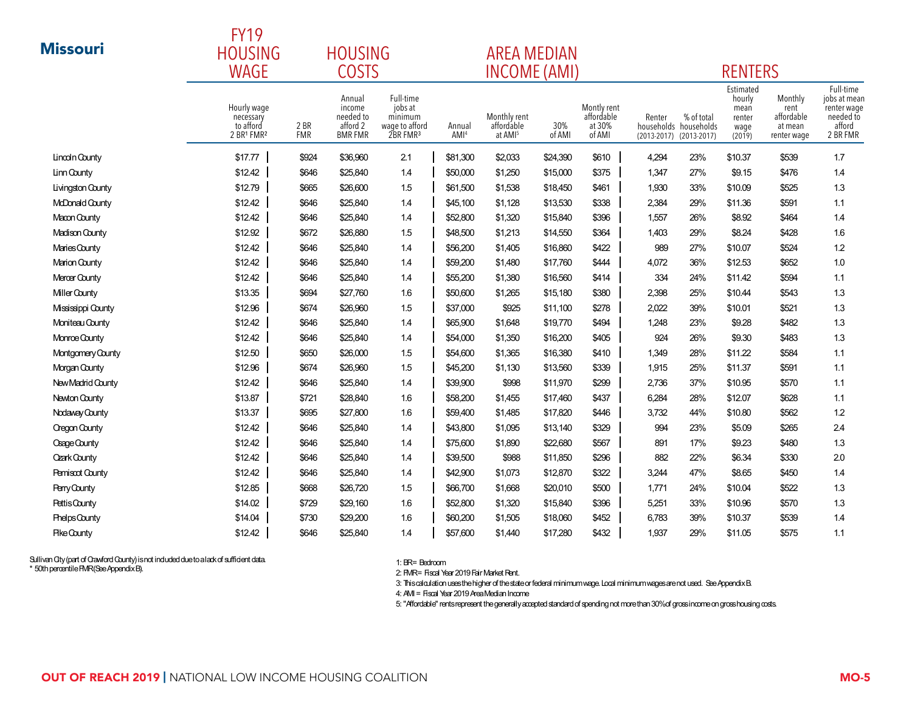|                        | <b>FY19</b>                                         |                    |                                                             |                                                                           |                            |                                                   |               |                                               |                           |                                                        |                                                         |                                                         |                                                                             |
|------------------------|-----------------------------------------------------|--------------------|-------------------------------------------------------------|---------------------------------------------------------------------------|----------------------------|---------------------------------------------------|---------------|-----------------------------------------------|---------------------------|--------------------------------------------------------|---------------------------------------------------------|---------------------------------------------------------|-----------------------------------------------------------------------------|
| <b>Missouri</b>        | <b>HOUSING</b><br><b>HOUSING</b>                    |                    |                                                             |                                                                           |                            | <b>AREA MEDIAN</b>                                |               |                                               |                           |                                                        |                                                         |                                                         |                                                                             |
|                        | <b>WAGE</b>                                         |                    | <b>COSTS</b>                                                |                                                                           |                            | <b>INCOME (AMI)</b>                               |               |                                               |                           |                                                        | <b>RENTERS</b>                                          |                                                         |                                                                             |
|                        | Hourly wage<br>necessary<br>to afford<br>2 BR1 FMR2 | 2 BR<br><b>FMR</b> | Annual<br>income<br>needed to<br>afford 2<br><b>BMR FMR</b> | Full-time<br>jobs at<br>minimum<br>wage to afford<br>2BR FMR <sup>3</sup> | Annual<br>AMI <sup>4</sup> | Monthly rent<br>affordable<br>at AMI <sup>5</sup> | 30%<br>of AMI | Montly rent<br>affordable<br>at 30%<br>of AMI | Renter<br>$(2013 - 2017)$ | % of total<br>households households<br>$(2013 - 2017)$ | Estimated<br>hourly<br>mean<br>renter<br>wage<br>(2019) | Monthly<br>rent<br>affordable<br>at mean<br>renter wage | Full-time<br>jobs at mean<br>renter wage<br>needed to<br>afford<br>2 BR FMR |
| Lincoln County         | \$17.77                                             | \$924              | \$36,960                                                    | 2.1                                                                       | \$81,300                   | \$2,033                                           | \$24,390      | \$610                                         | 4,294                     | 23%                                                    | \$10.37                                                 | \$539                                                   | 1.7                                                                         |
| Linn County            | \$12.42                                             | \$646              | \$25,840                                                    | 1.4                                                                       | \$50,000                   | \$1,250                                           | \$15,000      | \$375                                         | 1,347                     | 27%                                                    | \$9.15                                                  | \$476                                                   | 1.4                                                                         |
| Livingston County      | \$12.79                                             | \$665              | \$26,600                                                    | 1.5                                                                       | \$61,500                   | \$1,538                                           | \$18,450      | \$461                                         | 1,930                     | 33%                                                    | \$10.09                                                 | \$525                                                   | 1.3                                                                         |
| McDonald County        | \$12.42                                             | \$646              | \$25,840                                                    | 1.4                                                                       | \$45,100                   | \$1,128                                           | \$13,530      | \$338                                         | 2,384                     | 29%                                                    | \$11.36                                                 | \$591                                                   | 1.1                                                                         |
| Macon County           | \$12.42                                             | \$646              | \$25,840                                                    | 1.4                                                                       | \$52,800                   | \$1,320                                           | \$15,840      | \$396                                         | 1,557                     | 26%                                                    | \$8.92                                                  | \$464                                                   | 1.4                                                                         |
| Madison County         | \$12.92                                             | \$672              | \$26,880                                                    | 1.5                                                                       | \$48,500                   | \$1,213                                           | \$14,550      | \$364                                         | 1,403                     | 29%                                                    | \$8.24                                                  | \$428                                                   | 1.6                                                                         |
| Maries County          | \$12.42                                             | \$646              | \$25,840                                                    | 1.4                                                                       | \$56,200                   | \$1,405                                           | \$16,860      | \$422                                         | 989                       | 27%                                                    | \$10.07                                                 | \$524                                                   | 1.2                                                                         |
| <b>Marion County</b>   | \$12.42                                             | \$646              | \$25,840                                                    | 14                                                                        | \$59,200                   | \$1,480                                           | \$17,760      | \$444                                         | 4,072                     | 36%                                                    | \$12.53                                                 | \$652                                                   | 1.0                                                                         |
| Mercer County          | \$12.42                                             | \$646              | \$25,840                                                    | 1.4                                                                       | \$55,200                   | \$1,380                                           | \$16,560      | \$414                                         | 334                       | 24%                                                    | \$11.42                                                 | \$594                                                   | $1.1$                                                                       |
| Miller County          | \$13.35                                             | \$694              | \$27,760                                                    | 1.6                                                                       | \$50,600                   | \$1,265                                           | \$15,180      | \$380                                         | 2,398                     | 25%                                                    | \$10.44                                                 | \$543                                                   | 1.3                                                                         |
| Mississippi County     | \$12.96                                             | \$674              | \$26,960                                                    | 1.5                                                                       | \$37,000                   | \$925                                             | \$11,100      | \$278                                         | 2,022                     | 39%                                                    | \$10.01                                                 | \$521                                                   | 1.3                                                                         |
| Moniteau County        | \$12.42                                             | \$646              | \$25,840                                                    | 1.4                                                                       | \$65,900                   | \$1,648                                           | \$19,770      | \$494                                         | 1,248                     | 23%                                                    | \$9.28                                                  | \$482                                                   | 1.3                                                                         |
| Monroe County          | \$12.42                                             | \$646              | \$25,840                                                    | 1.4                                                                       | \$54,000                   | \$1,350                                           | \$16,200      | \$405                                         | 924                       | 26%                                                    | \$9.30                                                  | \$483                                                   | 1.3                                                                         |
| Montgomery County      | \$12.50                                             | \$650              | \$26,000                                                    | 1.5                                                                       | \$54,600                   | \$1,365                                           | \$16,380      | \$410                                         | 1,349                     | 28%                                                    | \$11.22                                                 | \$584                                                   | 1.1                                                                         |
| Morgan County          | \$12.96                                             | \$674              | \$26,960                                                    | 1.5                                                                       | \$45,200                   | \$1,130                                           | \$13,560      | \$339                                         | 1,915                     | 25%                                                    | \$11.37                                                 | \$591                                                   | 1.1                                                                         |
| New Madrid County      | \$12.42                                             | \$646              | \$25,840                                                    | 1.4                                                                       | \$39,900                   | \$998                                             | \$11,970      | \$299                                         | 2,736                     | 37%                                                    | \$10.95                                                 | \$570                                                   | 1.1                                                                         |
| Newton County          | \$13.87                                             | \$721              | \$28,840                                                    | 1.6                                                                       | \$58,200                   | \$1,455                                           | \$17,460      | \$437                                         | 6,284                     | 28%                                                    | \$12.07                                                 | \$628                                                   | 1.1                                                                         |
| Nodaway County         | \$13.37                                             | \$695              | \$27,800                                                    | 1.6                                                                       | \$59,400                   | \$1,485                                           | \$17,820      | \$446                                         | 3,732                     | 44%                                                    | \$10.80                                                 | \$562                                                   | 1.2                                                                         |
| <b>Cregon County</b>   | \$12.42                                             | \$646              | \$25,840                                                    | 1.4                                                                       | \$43,800                   | \$1,095                                           | \$13,140      | \$329                                         | 994                       | 23%                                                    | \$5.09                                                  | \$265                                                   | 2.4                                                                         |
| Osage County           | \$12.42                                             | \$646              | \$25,840                                                    | 14                                                                        | \$75,600                   | \$1,890                                           | \$22,680      | \$567                                         | 891                       | 17%                                                    | \$9.23                                                  | \$480                                                   | 1.3                                                                         |
| <b>Ozark County</b>    | \$12.42                                             | \$646              | \$25,840                                                    | 1.4                                                                       | \$39,500                   | \$988                                             | \$11,850      | \$296                                         | 882                       | 22%                                                    | \$6.34                                                  | \$330                                                   | 2.0                                                                         |
| <b>Pemiscot County</b> | \$12.42                                             | \$646              | \$25,840                                                    | 1.4                                                                       | \$42,900                   | \$1,073                                           | \$12,870      | \$322                                         | 3,244                     | 47%                                                    | \$8.65                                                  | \$450                                                   | 1.4                                                                         |
| Perry County           | \$12.85                                             | \$668              | \$26,720                                                    | 1.5                                                                       | \$66,700                   | \$1,668                                           | \$20,010      | \$500                                         | 1,771                     | 24%                                                    | \$10.04                                                 | \$522                                                   | 1.3                                                                         |
| <b>Pettis County</b>   | \$14.02                                             | \$729              | \$29,160                                                    | 1.6                                                                       | \$52,800                   | \$1,320                                           | \$15,840      | \$396                                         | 5,251                     | 33%                                                    | \$10.96                                                 | \$570                                                   | 1.3                                                                         |
| <b>PhelpsCounty</b>    | \$14.04                                             | \$730              | \$29,200                                                    | 1.6                                                                       | \$60,200                   | \$1,505                                           | \$18,060      | \$452                                         | 6,783                     | 39%                                                    | \$10.37                                                 | \$539                                                   | 1.4                                                                         |
| <b>Pike County</b>     | \$12.42                                             | \$646              | \$25,840                                                    | 14                                                                        | \$57,600                   | \$1,440                                           | \$17,280      | \$432                                         | 1,937                     | 29%                                                    | \$11.05                                                 | \$575                                                   | 1.1                                                                         |

1: BR= Bedroom

2: FMR= Fiscal Year 2019 Fair Market Rent.

3: This calculation uses the higher of the state or federal minimum wage. Local minimum wages are not used. See Appendix B.

4: AMI = Fiscal Year 2019 Area Median Income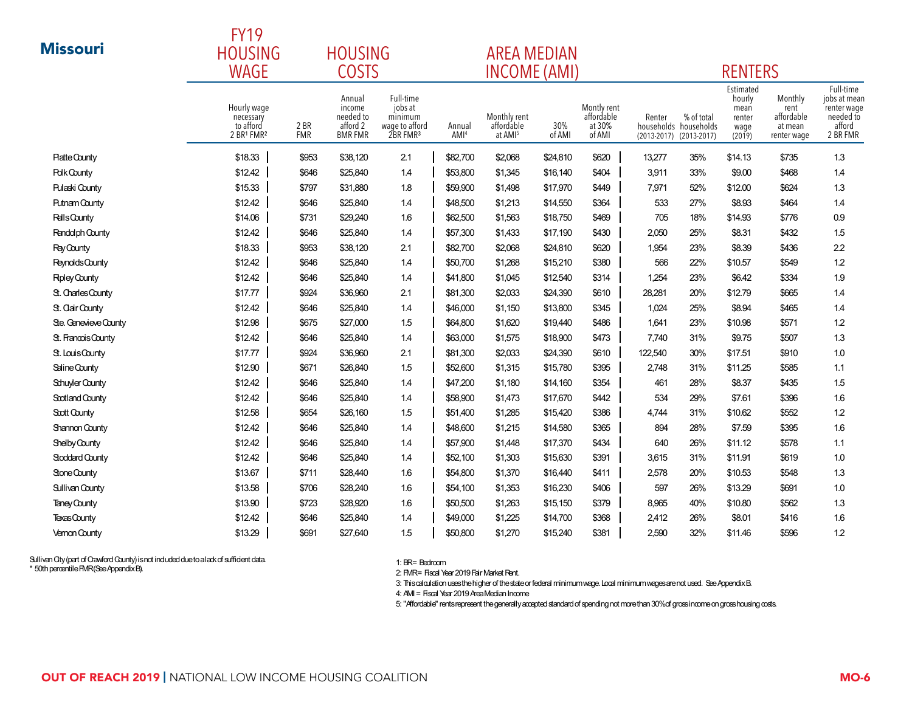|                        | <b>FY19</b>                                         |                    |                                                             |                                                                           |                            |                                                   |                    |                                               |                           |                                                      |                                                         |                                                         |                                                                             |
|------------------------|-----------------------------------------------------|--------------------|-------------------------------------------------------------|---------------------------------------------------------------------------|----------------------------|---------------------------------------------------|--------------------|-----------------------------------------------|---------------------------|------------------------------------------------------|---------------------------------------------------------|---------------------------------------------------------|-----------------------------------------------------------------------------|
| <b>Missouri</b>        | <b>HOUSING</b>                                      | <b>HOUSING</b>     |                                                             |                                                                           |                            |                                                   | <b>AREA MEDIAN</b> |                                               |                           |                                                      |                                                         |                                                         |                                                                             |
|                        | <b>WAGE</b>                                         | <b>COSTS</b>       |                                                             |                                                                           |                            |                                                   |                    | <b>INCOME (AMI)</b>                           |                           |                                                      | <b>RENTERS</b>                                          |                                                         |                                                                             |
|                        | Hourly wage<br>necessary<br>to afford<br>2 BR1 FMR2 | 2 BR<br><b>FMR</b> | Annual<br>income<br>needed to<br>afford 2<br><b>BMR FMR</b> | Full-time<br>jobs at<br>minimum<br>wage to afford<br>2BR FMR <sup>3</sup> | Annual<br>AMI <sup>4</sup> | Monthly rent<br>affordable<br>at AMI <sup>5</sup> | 30%<br>of AMI      | Montly rent<br>affordable<br>at 30%<br>of AMI | Renter<br>$(2013 - 2017)$ | % of total<br>households households<br>$(2013-2017)$ | Estimated<br>hourly<br>mean<br>renter<br>wage<br>(2019) | Monthly<br>rent<br>affordable<br>at mean<br>renter wage | Full-time<br>jobs at mean<br>renter wage<br>needed to<br>afford<br>2 BR FMR |
| <b>Platte County</b>   | \$18.33                                             | \$953              | \$38,120                                                    | 2.1                                                                       | \$82,700                   | \$2,068                                           | \$24,810           | \$620                                         | 13,277                    | 35%                                                  | \$14.13                                                 | \$735                                                   | 1.3                                                                         |
| <b>Polk County</b>     | \$12.42                                             | \$646              | \$25,840                                                    | 1.4                                                                       | \$53,800                   | \$1,345                                           | \$16,140           | \$404                                         | 3,911                     | 33%                                                  | \$9.00                                                  | \$468                                                   | 1.4                                                                         |
| <b>Pulaski County</b>  | \$15.33                                             | \$797              | \$31,880                                                    | 1.8                                                                       | \$59,900                   | \$1,498                                           | \$17,970           | \$449                                         | 7,971                     | 52%                                                  | \$12.00                                                 | \$624                                                   | 1.3                                                                         |
| <b>Putnam County</b>   | \$12.42                                             | \$646              | \$25,840                                                    | 1.4                                                                       | \$48,500                   | \$1,213                                           | \$14,550           | \$364                                         | 533                       | 27%                                                  | \$8.93                                                  | \$464                                                   | 1.4                                                                         |
| <b>Ralls County</b>    | \$14.06                                             | \$731              | \$29,240                                                    | 1.6                                                                       | \$62,500                   | \$1,563                                           | \$18,750           | \$469                                         | 705                       | 18%                                                  | \$14.93                                                 | \$776                                                   | 0.9                                                                         |
| Randolph County        | \$12.42                                             | \$646              | \$25,840                                                    | 1.4                                                                       | \$57,300                   | \$1,433                                           | \$17,190           | \$430                                         | 2,050                     | 25%                                                  | \$8.31                                                  | \$432                                                   | 1.5                                                                         |
| Ray County             | \$18.33                                             | \$953              | \$38,120                                                    | 2.1                                                                       | \$82,700                   | \$2,068                                           | \$24,810           | \$620                                         | 1,954                     | 23%                                                  | \$8.39                                                  | \$436                                                   | 2.2                                                                         |
| <b>Reynolds County</b> | \$12.42                                             | \$646              | \$25,840                                                    | 1.4                                                                       | \$50,700                   | \$1,268                                           | \$15,210           | \$380                                         | 566                       | 22%                                                  | \$10.57                                                 | \$549                                                   | 1.2                                                                         |
| <b>Rpley County</b>    | \$12.42                                             | \$646              | \$25,840                                                    | 1.4                                                                       | \$41,800                   | \$1,045                                           | \$12,540           | \$314                                         | 1,254                     | 23%                                                  | \$6.42                                                  | \$334                                                   | 1.9                                                                         |
| St. Charles County     | \$17.77                                             | \$924              | \$36,960                                                    | 2.1                                                                       | \$81,300                   | \$2,033                                           | \$24,390           | \$610                                         | 28,281                    | 20%                                                  | \$12.79                                                 | \$665                                                   | 1.4                                                                         |
| St. Clair County       | \$12.42                                             | \$646              | \$25,840                                                    | 1.4                                                                       | \$46,000                   | \$1,150                                           | \$13,800           | \$345                                         | 1,024                     | 25%                                                  | \$8.94                                                  | \$465                                                   | 1.4                                                                         |
| Ste. Genevieve County  | \$12.98                                             | \$675              | \$27,000                                                    | 1.5                                                                       | \$64,800                   | \$1,620                                           | \$19,440           | \$486                                         | 1,641                     | 23%                                                  | \$10.98                                                 | \$571                                                   | 1.2                                                                         |
| St. Francois County    | \$12.42                                             | \$646              | \$25,840                                                    | 1.4                                                                       | \$63,000                   | \$1,575                                           | \$18,900           | \$473                                         | 7,740                     | 31%                                                  | \$9.75                                                  | \$507                                                   | 1.3                                                                         |
| St. Louis County       | \$17.77                                             | \$924              | \$36,960                                                    | 2.1                                                                       | \$81,300                   | \$2,033                                           | \$24,390           | \$610                                         | 122,540                   | 30%                                                  | \$17.51                                                 | \$910                                                   | 1.0                                                                         |
| Saline County          | \$12.90                                             | \$671              | \$26,840                                                    | 1.5                                                                       | \$52,600                   | \$1,315                                           | \$15,780           | \$395                                         | 2,748                     | 31%                                                  | \$11.25                                                 | \$585                                                   | 1.1                                                                         |
| <b>Schuyler County</b> | \$12.42                                             | \$646              | \$25,840                                                    | 1.4                                                                       | \$47,200                   | \$1,180                                           | \$14,160           | \$354                                         | 461                       | 28%                                                  | \$8.37                                                  | \$435                                                   | 1.5                                                                         |
| Scotland County        | \$12.42                                             | \$646              | \$25,840                                                    | 1.4                                                                       | \$58,900                   | \$1,473                                           | \$17,670           | \$442                                         | 534                       | 29%                                                  | \$7.61                                                  | \$396                                                   | 1.6                                                                         |
| Scott County           | \$12.58                                             | \$654              | \$26,160                                                    | 1.5                                                                       | \$51,400                   | \$1,285                                           | \$15,420           | \$386                                         | 4,744                     | 31%                                                  | \$10.62                                                 | \$552                                                   | 1.2                                                                         |
| <b>Shannon County</b>  | \$12.42                                             | \$646              | \$25,840                                                    | 1.4                                                                       | \$48,600                   | \$1,215                                           | \$14,580           | \$365                                         | 894                       | 28%                                                  | \$7.59                                                  | \$395                                                   | 1.6                                                                         |
| Shelby County          | \$12.42                                             | \$646              | \$25,840                                                    | 1.4                                                                       | \$57,900                   | \$1,448                                           | \$17,370           | \$434                                         | 640                       | 26%                                                  | \$11.12                                                 | \$578                                                   | 1.1                                                                         |
| <b>Stoddard County</b> | \$12.42                                             | \$646              | \$25,840                                                    | 1.4                                                                       | \$52,100                   | \$1,303                                           | \$15,630           | \$391                                         | 3,615                     | 31%                                                  | \$11.91                                                 | \$619                                                   | 1.0                                                                         |
| Stone County           | \$13.67                                             | \$711              | \$28,440                                                    | 1.6                                                                       | \$54,800                   | \$1,370                                           | \$16,440           | \$411                                         | 2,578                     | 20%                                                  | \$10.53                                                 | \$548                                                   | 1.3                                                                         |
| <b>Sullivan County</b> | \$13.58                                             | \$706              | \$28,240                                                    | 1.6                                                                       | \$54,100                   | \$1,353                                           | \$16,230           | \$406                                         | 597                       | 26%                                                  | \$13.29                                                 | \$691                                                   | 1.0                                                                         |
| Taney County           | \$13.90                                             | \$723              | \$28,920                                                    | 1.6                                                                       | \$50,500                   | \$1,263                                           | \$15,150           | \$379                                         | 8,965                     | 40%                                                  | \$10.80                                                 | \$562                                                   | 1.3                                                                         |
| Texas County           | \$12.42                                             | \$646              | \$25,840                                                    | 1.4                                                                       | \$49,000                   | \$1,225                                           | \$14,700           | \$368                                         | 2,412                     | 26%                                                  | \$8.01                                                  | \$416                                                   | 1.6                                                                         |
| <b>Vernon County</b>   | \$13.29                                             | \$691              | \$27,640                                                    | 1.5                                                                       | \$50,800                   | \$1,270                                           | \$15,240           | \$381                                         | 2,590                     | 32%                                                  | \$11.46                                                 | \$596                                                   | 1.2                                                                         |

1: BR= Bedroom

2: FMR= Fiscal Year 2019 Fair Market Rent.

3: This calculation uses the higher of the state or federal minimum wage. Local minimum wages are not used. See Appendix B.

4: AMI = Fiscal Year 2019 Area Median Income